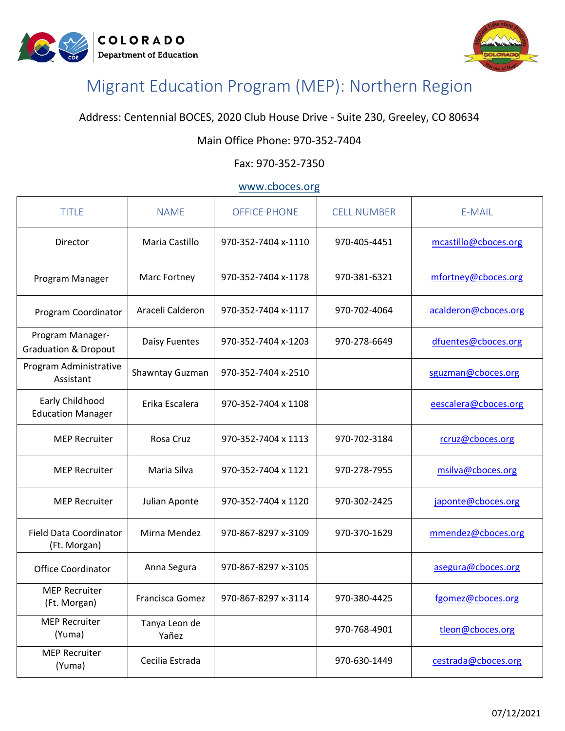



# Migrant Education Program (MEP): Northern Region

Address: Centennial BOCES, 2020 Club House Drive - Suite 230, Greeley, CO 80634

## Main Office Phone: 970-352-7404

#### Fax: 970-352-7350

## [www.cboces.org](http://www.cboces.org/)

| <b>TITLE</b>                                        | <b>NAME</b>            | <b>OFFICE PHONE</b> | <b>CELL NUMBER</b> | E-MAIL               |
|-----------------------------------------------------|------------------------|---------------------|--------------------|----------------------|
| Director                                            | Maria Castillo         | 970-352-7404 x-1110 | 970-405-4451       | mcastillo@cboces.org |
| Program Manager                                     | Marc Fortney           | 970-352-7404 x-1178 | 970-381-6321       | mfortney@cboces.org  |
| Program Coordinator                                 | Araceli Calderon       | 970-352-7404 x-1117 | 970-702-4064       | acalderon@cboces.org |
| Program Manager-<br><b>Graduation &amp; Dropout</b> | Daisy Fuentes          | 970-352-7404 x-1203 | 970-278-6649       | dfuentes@cboces.org  |
| Program Administrative<br>Assistant                 | Shawntay Guzman        | 970-352-7404 x-2510 |                    | sguzman@cboces.org   |
| Early Childhood<br><b>Education Manager</b>         | Erika Escalera         | 970-352-7404 x 1108 |                    | eescalera@cboces.org |
| <b>MEP Recruiter</b>                                | Rosa Cruz              | 970-352-7404 x 1113 | 970-702-3184       | rcruz@cboces.org     |
| <b>MEP Recruiter</b>                                | Maria Silva            | 970-352-7404 x 1121 | 970-278-7955       | msilva@cboces.org    |
| <b>MEP Recruiter</b>                                | Julian Aponte          | 970-352-7404 x 1120 | 970-302-2425       | japonte@cboces.org   |
| <b>Field Data Coordinator</b><br>(Ft. Morgan)       | Mirna Mendez           | 970-867-8297 x-3109 | 970-370-1629       | mmendez@cboces.org   |
| <b>Office Coordinator</b>                           | Anna Segura            | 970-867-8297 x-3105 |                    | asegura@cboces.org   |
| <b>MEP Recruiter</b><br>(Ft. Morgan)                | Francisca Gomez        | 970-867-8297 x-3114 | 970-380-4425       | fgomez@cboces.org    |
| <b>MEP Recruiter</b><br>(Yuma)                      | Tanya Leon de<br>Yañez |                     | 970-768-4901       | tleon@cboces.org     |
| <b>MEP Recruiter</b><br>(Yuma)                      | Cecilia Estrada        |                     | 970-630-1449       | cestrada@cboces.org  |